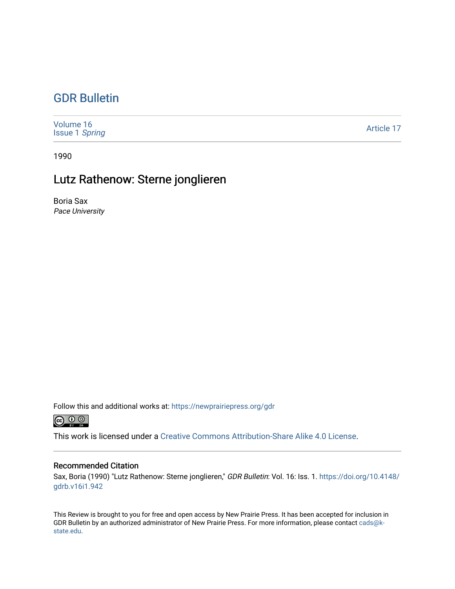## [GDR Bulletin](https://newprairiepress.org/gdr)

| Volume 16<br><b>Issue 1 Spring</b> | Article 17 |
|------------------------------------|------------|
|------------------------------------|------------|

1990

## Lutz Rathenow: Sterne jonglieren

Boria Sax Pace University

Follow this and additional works at: [https://newprairiepress.org/gdr](https://newprairiepress.org/gdr?utm_source=newprairiepress.org%2Fgdr%2Fvol16%2Fiss1%2F17&utm_medium=PDF&utm_campaign=PDFCoverPages) 



This work is licensed under a [Creative Commons Attribution-Share Alike 4.0 License.](https://creativecommons.org/licenses/by-sa/4.0/)

## Recommended Citation

Sax, Boria (1990) "Lutz Rathenow: Sterne jonglieren," GDR Bulletin: Vol. 16: Iss. 1. [https://doi.org/10.4148/](https://doi.org/10.4148/gdrb.v16i1.942) [gdrb.v16i1.942](https://doi.org/10.4148/gdrb.v16i1.942)

This Review is brought to you for free and open access by New Prairie Press. It has been accepted for inclusion in GDR Bulletin by an authorized administrator of New Prairie Press. For more information, please contact [cads@k](mailto:cads@k-state.edu)[state.edu](mailto:cads@k-state.edu).